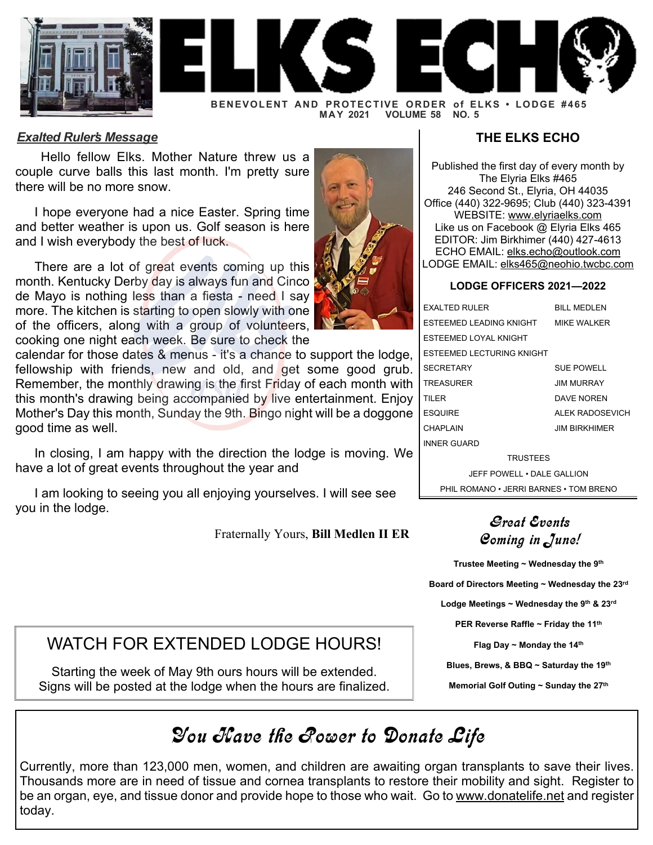



**BENEVOLENT AND PROTECTIVE ORDER of ELKS • LODGE #465 VOLUME 58 NO. 5** 

#### *Exalted Ruler's Message*

 Hello fellow Elks. Mother Nature threw us a couple curve balls this last month. I'm pretty sure there will be no more snow.

I hope everyone had a nice Easter. Spring time and better weather is upon us. Golf season is here and I wish everybody the best of luck.

There are a lot of great events coming up this month. Kentucky Derby day is always fun and Cinco de Mayo is nothing less than a fiesta - need I say more. The kitchen is starting to open slowly with one of the officers, along with a group of volunteers, cooking one night each week. Be sure to check the

calendar for those dates & menus - it's a chance to support the lodge, fellowship with friends, new and old, and get some good grub. Remember, the monthly drawing is the first Friday of each month with this month's drawing being accompanied by live entertainment. Enjoy Mother's Day this month, Sunday the 9th. Bingo night will be a doggone good time as well.

In closing, I am happy with the direction the lodge is moving. We have a lot of great events throughout the year and

I am looking to seeing you all enjoying yourselves. I will see see you in the lodge.

Fraternally Yours, **Bill Medlen II ER**

### **THE ELKS ECHO**

Published the first day of every month by The Elyria Elks #465 246 Second St., Elyria, OH 44035 Office (440) 322-9695; Club (440) 323-4391 WEBSITE: [www.elyriaelks.com](https://elyriaelks.com/) Like us on Facebook @ Elyria Elks 465 EDITOR: Jim Birkhimer (440) 427-4613 ECHO EMAIL: [elks.echo@outlook.com](mailto:elks.echo@outlook.com) LODGE EMAIL: [elks465@neohio.twcbc.com](mailto:elks465@neohio.twcbc.com)

#### **LODGE OFFICERS 2021—2022**

| <b>FXALTED RULER</b>         | <b>BILL MEDLEN</b>   |
|------------------------------|----------------------|
| FSTFFMFD I FADING KNIGHT     | MIKE WAI KER         |
| <b>ESTEEMED LOYAL KNIGHT</b> |                      |
| ESTEEMED LECTURING KNIGHT    |                      |
| <b>SECRETARY</b>             | <b>SUE POWELL</b>    |
| <b>TREASURER</b>             | <b>JIM MURRAY</b>    |
| TII FR                       | DAVE NOREN           |
| <b>ESQUIRE</b>               | ALEK RADOSEVICH      |
| <b>CHAPLAIN</b>              | <b>JIM BIRKHIMFR</b> |
| <b>INNER GUARD</b>           |                      |
|                              |                      |

TRUSTEES JEFF POWELL • DALE GALLION PHIL ROMANO • JERRI BARNES • TOM BRENO

### Great Events Coming in June!

**Trustee Meeting ~ Wednesday the 9th Board of Directors Meeting ~ Wednesday the 23rd Lodge Meetings ~ Wednesday the 9th & 23rd PER Reverse Raffle ~ Friday the 11th Flag Day ~ Monday the 14th Blues, Brews, & BBQ ~ Saturday the 19th Memorial Golf Outing ~ Sunday the 27th**

## WATCH FOR EXTENDED LODGE HOURS!

Starting the week of May 9th ours hours will be extended. Signs will be posted at the lodge when the hours are finalized.

## You Have the Power to Donate Life

Currently, more than 123,000 men, women, and children are awaiting organ transplants to save their lives. Thousands more are in need of tissue and cornea transplants to restore their mobility and sight. Register to be an organ, eye, and tissue donor and provide hope to those who wait. Go to [www.donatelife.net](https://www.donatelife.net/) and register today.

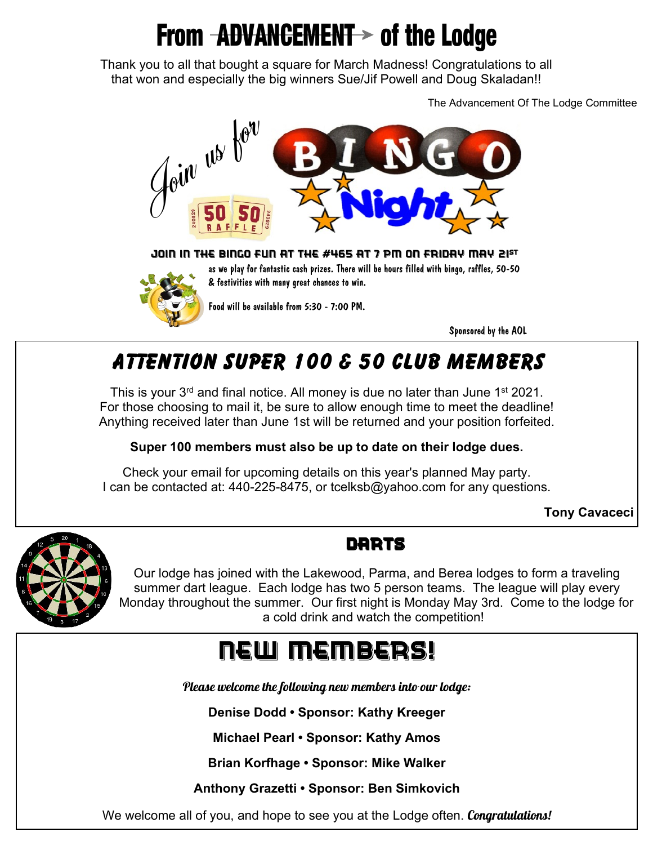# **From ADVANCEMENT > of the Lodge**

Thank you to all that bought a square for March Madness! Congratulations to all that won and especially the big winners Sue/Jif Powell and Doug Skaladan!!

The Advancement Of The Lodge Committee



JOIN IN THE BINGO FUN AT THE #465 AT 7 PM ON FRIDAY MAY 21<sup>st</sup>



as we play for fantastic cash prizes. There will be hours filled with bingo, raffles, 50-50 & festivities with many great chances to win.

Food will be available from 5:30 - 7:00 PM.

Sponsored by the AOL

## **Attention Super 100 & 50 Club Members**

This is your  $3<sup>rd</sup>$  and final notice. All money is due no later than June 1<sup>st</sup> 2021. For those choosing to mail it, be sure to allow enough time to meet the deadline! Anything received later than June 1st will be returned and your position forfeited.

**Super 100 members must also be up to date on their lodge dues.**

Check your email for upcoming details on this year's planned May party. I can be contacted at: 440-225-8475, or tcelksb@yahoo.com for any questions.

**Tony Cavaceci**



### **DARTS**

Our lodge has joined with the Lakewood, Parma, and Berea lodges to form a traveling summer dart league. Each lodge has two 5 person teams. The league will play every Monday throughout the summer. Our first night is Monday May 3rd. Come to the lodge for a cold drink and watch the competition!

# New Members!

Please welcome the following new members into our lodge:

**Denise Dodd • Sponsor: Kathy Kreeger**

**Michael Pearl • Sponsor: Kathy Amos**

**Brian Korfhage • Sponsor: Mike Walker**

**Anthony Grazetti • Sponsor: Ben Simkovich**

We welcome all of you, and hope to see you at the Lodge often. Congratulations!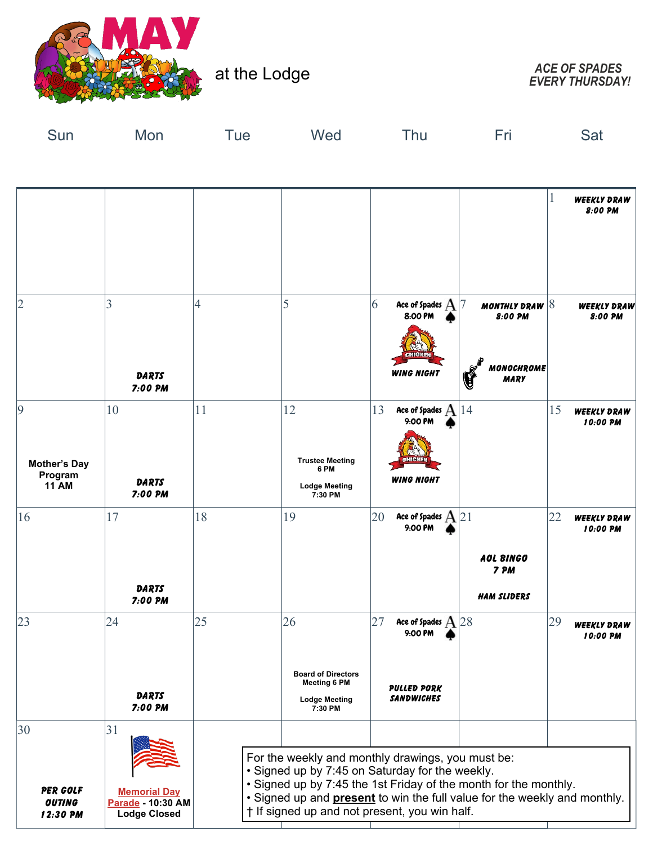

at the Lodge

*EVERY THURSDAY!*

| Sun                                                 | Mon                                                                   | Tue | Wed                                                                            | Thu                                                                                                                                                                                                                                                                                                           | Fri                                                       | Sat                                  |
|-----------------------------------------------------|-----------------------------------------------------------------------|-----|--------------------------------------------------------------------------------|---------------------------------------------------------------------------------------------------------------------------------------------------------------------------------------------------------------------------------------------------------------------------------------------------------------|-----------------------------------------------------------|--------------------------------------|
|                                                     |                                                                       |     |                                                                                |                                                                                                                                                                                                                                                                                                               |                                                           |                                      |
|                                                     |                                                                       |     |                                                                                |                                                                                                                                                                                                                                                                                                               |                                                           | 1<br><b>WEEKLY DRAW</b><br>8:00 PM   |
| $\overline{2}$                                      | 3<br><b>DARTS</b><br>7:00 PM                                          | 4   | 5                                                                              | 6<br>Ace of Spades ${\rm A}$<br>8:00 PM<br>CHICKEN<br><b>WING NIGHT</b>                                                                                                                                                                                                                                       | MONTHLY DRAW $ 8$<br>8:00 PM<br>MONOCHROME<br><b>MARY</b> | WEEKLY DRAW<br>8:00 PM               |
| 9<br><b>Mother's Day</b><br>Program<br><b>11 AM</b> | 10<br><b>DARTS</b><br>7:00 PM                                         | 11  | 12<br><b>Trustee Meeting</b><br>6 PM<br>Lodge Meeting<br>7:30 PM               | 13<br>Ace of Spades $\mathbf A$<br>9:00 PM<br><b>BMICKEN</b><br><b>WING NIGHT</b>                                                                                                                                                                                                                             | 14                                                        | 15<br><b>WEEKLY DRAW</b><br>10:00 PM |
| 16                                                  | 17<br><b>DARTS</b><br>7:00 PM                                         | 18  | 19                                                                             | 20<br>Ace of Spades $A$ 21<br>9:00 PM                                                                                                                                                                                                                                                                         | AOL BINGO<br>7 PM<br><b>HAM SLIDERS</b>                   | 22<br><b>WEEKLY DRAW</b><br>10:00 PM |
| 23                                                  | 24<br>DARTS<br>7:00 PM                                                | 25  | 26<br><b>Board of Directors</b><br><b>Meeting 6 PM</b><br><b>Lodge Meeting</b> | 27<br>Ace of Spades $A$ 28<br>9:00 PM<br><b>PULLED PORK</b><br>SANDWICHES                                                                                                                                                                                                                                     |                                                           | 29<br><b>WEEKLY DRAW</b><br>10:00 PM |
| 30<br>PER GOLF<br><b>OUTING</b><br>12:30 PM         | 31<br><b>Memorial Day</b><br>Parade - 10:30 AM<br><b>Lodge Closed</b> |     | 7:30 PM                                                                        | For the weekly and monthly drawings, you must be:<br>• Signed up by 7:45 on Saturday for the weekly.<br>• Signed up by 7:45 the 1st Friday of the month for the monthly.<br>• Signed up and <b>present</b> to win the full value for the weekly and monthly.<br>† If signed up and not present, you win half. |                                                           |                                      |